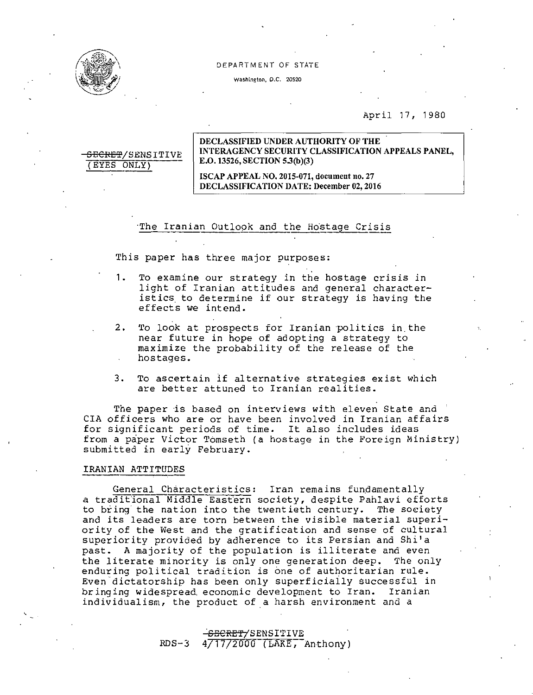

<del>SECRET</del>/SENSITIVE

(EYES ONLY) .

## DEPARTMENT OF STATE

Washington, D.C. 20520

# April 17, 1980

# DECLASSIFIED UNDER AUTHORITY OF THE INTERAGENCY SECURITY CLASSIFICATION APPEALS PANEL, E.O. 13526, SECTION 5.3(b)(3)

ISCAP APPEAL NO. 2015-071, document no. 27 DECLASSIFICATION DATE: December 02,2016

## The Iranian Outlook and the Hostage Crisis

This paper has three major purposes:

- 1- To examine our strategy in the hostage crisis *in*  light of Iranian attitudes and general characteristics to determine if our strategy is having the effects we intend.
- 2. To look at prospects for Iranian politics in the near future in hope of adopting a strategy to maximize the probability of the release of the hostages.
- 3. To ascertain if alternative strategies exist which are better attuned to Iranian realities.

The paper is based on interviews with eleven State and CIA officers who are or have been involved *in* Iranian affairs for significant periods of time. It also includes ideas from a paper Victor Tomseth (a hostage in the Foreign Ministry) submitted in early February.

# IRANIAN ATTITUDES

General Characteristics: Iran remains fundamentally a traditional Middle Eastern society, despite Pahlavi efforts to bring· the nation into the twentieth century. The society and its leaders are torn between the visible material superiority of the West and the gratification and sense of cultural superiority provided by adherence to its Persian and Shi'a past. A majority of the population is illiterate and even the literate minority is only one generation deep. The only enduring political tradition is one of authoritarian rule. Even dictatorship has been only superficially successful in bringing widespread, economic development to Iran. Iranian individualism, the product of a harsh environment and a

# -<del>SECRET/</del>SENSITIVE  $RDS-3$  4/17/2000 (LAKE, Anthony)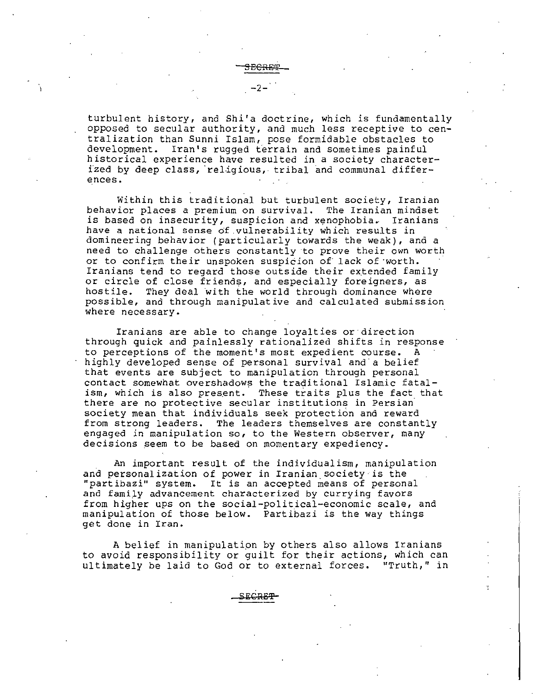turbulent history, and Shi'a doctrine, which is fundamentally opposed to secular authority, and much less receptive to centralization than Sunni Islam, pose formidable obstacles to development. Iran's rugged ferrain and sometimes painful historical experience have resulted in a society characterized by deep class, religious, tribal and communal differences.

Within this traditional but turbulent society, Iranian behavior places a premium on survival. The Iranian mindset is based on insecurity, suspicion and xenophobia. Iranians have a national sense of.vulnerability which results in domineering behavior (particularly towards the weak), and a need to challenge others constantly ·to prove their own worth or to confirm their unspoken suspicion of lack of worth. Iranians tend to regard those outside their extended family or circle of close friends, and especially foreigners, as<br>hostile. They deal with the world through dominance where They deal with the world through dominance where possible, and through manipulative and calculated submission where necessary.

Iranians are able to change loyalties or·direction through quick and painlessly rationalized shifts in response to perceptions of the moment's most expedient course. A highly developed sense of personal survival and a belief that events are subject to manipulation through personal contact somewhat overshadows the traditional Islamic fatalism, which is also present. These traits plus the fact that there are no protective secular institutions in Persian· society mean that individuals seek protection and reward from strong leaders. The leaders themselves are constantly engaged in manipulation so, to the Western observer, many decisions seem to be based on momentary expediency.

An important result of the individualism, manipulation and personalization of power in Iranian society is the "partibazi" system. It is an accepted means of personal and family advancement characterized by currying favors from higher ups on the social-political-economic scale, and manipulation of those below. Partibazi is the way things get done in Iran.

A belief in manipulation by others also allows Iranians to avoid responsibility or guilt for their actions, which can ultimately be laid to God or to external forces. "Truth," in

SECRE'l'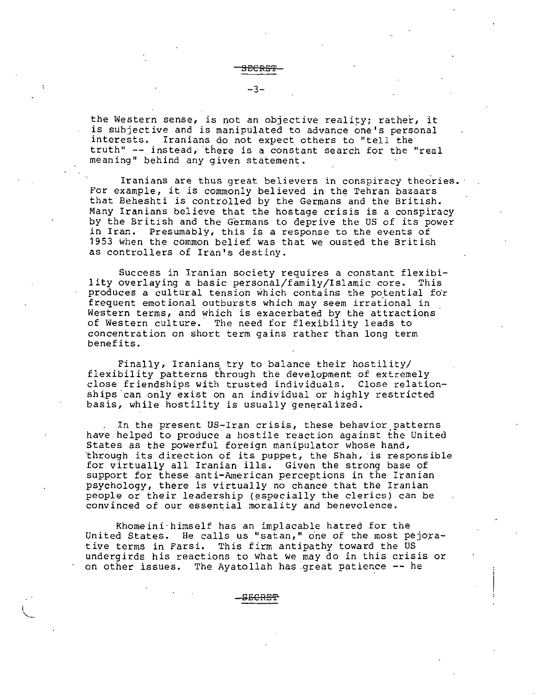the Western sense, is not an objective reality; rather, it is subjective and is manipulated to advance one's personal interests. Iranians do not expect others to "tell the truth" -- instead, there is a constant search for the "real meaning" behind any given statement.

Iranians are thus great believers in conspiracy theories. For example, it is commonly believed in the Tehran bazaars that Beheshti is controlled by the Germans and the British. Many Iranians believe that the hostage crisis is a conspiracy by the British and the Germans to deprive the US of its power in Iran. Presumably, this is a response to the events of 1953 when the common belief was that we ousted the British as controllers of Iran's destiny.

Success in Iranian society requires a constant flexibi lity overlaying a basic personal/family/Islamic core. This produces a cultural tension which contains the potential for frequent emotional outbursts which may seem irrational in Western terms, and which is exacerbated by the attractions of Western culture. The need for flexibility leads to concentration on short term gains rather than long term benefits.

Finally, Iranians try to balance their hostility/ flexibility patterns through the development of extremely close friendships with trusted individuals. Close relationships can only exist on an individual or highly restricted basis, while hostility is usually generalized.

In the present US-Iran crisis, these behavior patterns have helped to produce a hostile reaction against the United States as the powerful foreign manipulator whose hand, "through its direct ion of its puppet, the Shah, ·is responsible for virtually all Iranian ills. Given the strong base of support for these anti-American perceptions in the Iranian psychology, there is virtually no chance that the Iranian people or their leadership (especially the clerics) can be convinced of our essential morality and benevolence.

Khomeini·himself has an implacable hatred for the United States. He calls us "satan," one of the most pejorative terms in Farsi. This firm antipathy toward the us undergirds his reactions to what we may do in this crisis or on other issues. The Ayatollah has :great patience -- he

aECRE'E'

"-- I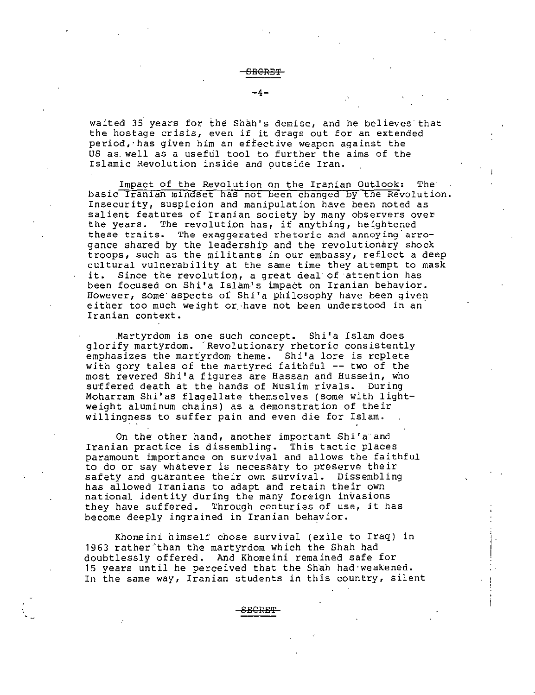waited 35' years for the Shah's demise, and he believes· that the hostage crisis, even if it drags out for an extended period,·has given *him* an effective weapon against the US as. well as a useful tool to further the aims of the Islamic Revolution inside and outside Iran.

Impact of the Revolution on the Iranian Outlook: The basic Iranian mindset has not been changed by the Revolution. Insecurity, suspicion and manipulation have been noted as salient features of Iranian society by many observers over the years. The revolution has, if anything, heightened these traits. The exaggerated rhetoric and annoying'arrogance shared by the leadership and the revolutionary shock troops, such as the militants in our embassy, reflect a deep cultural vulnerability at the same time they attempt to mask it. Since the revolution, a great deal of attention has been focused on Shi'a Islam's impact on Iranian behavior. However, some· aspects of Shi'a philosophy have been given either too much weight or.·have not been understood in an Iranian context.

Martyrdom is one such concept. Shi'a Islam does glorify martyrdom. 'Revolutionary rhetoric consistently emphasizes the martyrdom theme. Shi'a lore is replete with gory tales of the martyred faithful -- two of the most revered Shi'a figures are Hassan and Hussein, who suffered death at the hands of Muslim rivals. During Moharram Shi'as flagellate themselves (some *with* lightweight aluminum chains) as a demonstration of their willingness to suffer pain and even *die* for Islam.

On the other hand, another important Shi'a and Iranian practice is dissembling. This tactic places paramount importance on survival and allows the faithful to do or say whatever is necessary to preserve their safety and guarantee *their* own survival. Dissembling has allowed Iranians to adapt and retain their own national identity during the many foreign invasions they have suffered. Through centuries of use, it has become deeply ingrained in Iranian behavior.

Khomeini himself chose survival (exile to Iraq) in 1963 rather than the martyrdom which the Shah had doubtlessly offered. And Khomeini remained safe for 15 years until he perceived that the Shah had weakened. In the same way, Iranian students in this country, silent

**CECRE'f** 

 $-4-$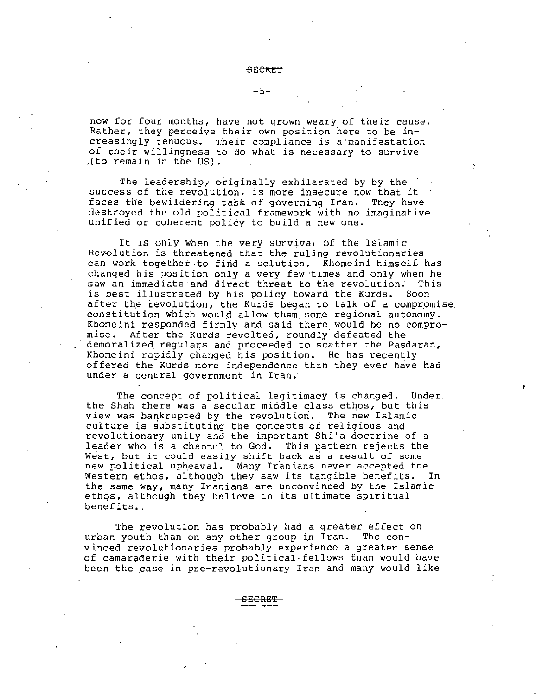#### **SECKEl'**

#### $-5-$

now for four months, have not grown weary of their cause. Rather, they perceive their own position here to be increasingly tenuous. Their compliance is a·manifestation of their willingness to do what is necessary to survive .(to remain in the US).

The leadership, originally exhilarated by by the success of the revolution, is more insecure now that it faces the bewildering task of governing Iran. They have destroyed the old political framework with no imaginative unified or coherent policy to build a new one.

It is only when the very survival of the Islamic Revolution is threatened that the ruling revolutionaries can work together·to find a solution. Khomeini himself has changed his position only a very few times and only when he saw an immediate and direct threat to the revolution. This saw an immediate and direct threat to the revolution. is best illustrated by his *policy* toward the Kurds. Soon after the revolution, the Kurds began to talk of a compromise. constitution which would allow them some regional autonomy. Khomeini responded firmly and said there would be no compromise. After the Kurds revolted, roundly. defeated the demoralized, regulars and proceeded to scatter the Pasdaran, Khomeini rapidly changed his position. He has recently offered the Kurds more independence than they ever have had under a central government in Iran.

The concept of political legitimacy is changed. Under. the Shah there was a secular middle class ethos, but this view was bankrupted by the revolution. The new Islamic culture is substituting the concepts of religious and revolutionary unity and the important Shi'a doctrine of a leader who is a channel to God. This pattern rejects the West, but it could easily shift back as a result of some new political upheaval. Many Iranians never accepted the Western ethos, although they saw its tangible benefits. In the same way, many Iranians are unconvinced by the Islamic ethqs, although they believe in its ultimate spiritual benefits..

The revolution has probably had a greater effect on urban youth than on any other group in Iran. The convinced revolutionaries probably experience a greater sense of camaraderie with their political·fellows than would have been the case in pre-revolutionary Iran and many would like

**SECFtE'f**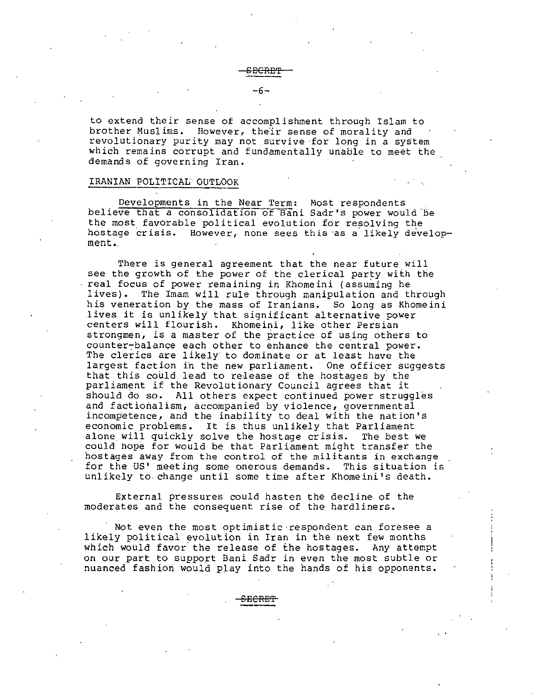-6

to extend their sense of accomplishment through Islam to brother Muslims. However, the'ir sense of morality and revolutionary purity may not survive for long in a system which remains corrupt and fundamentally unable to meet the demands of governing Iran.

# IRANIAN POLITICAL OUTLOOK

Developments in the Near Term: Most respondents believe that a consolldat10n of Bani Sadr's power would 'be the most favorable political evolution for resolving the hostage crisis. However, none sees this as a likely development..

There is general agreement that the near future will see the growth of the power of the clerical party with the real focus of power remaining in Khomeini (assuming he The Imam will rule through manipulation and through his veneration by the mass of Iranians. So long as Khomeini lives it is unlikely that significant alternative power centers will flourish. Khomeini, like other Persian strongmen, is a master of the practice of using others to counter-balance each other to enhance the central power. The clerics are likely to dominate or at least have the largest faction in the new parliament. One officer suggests that this could lead to release of the hostages by' the parliament if the Revolutionary Council agrees that it should do so. All others expect continued power struggles and factionalism, accompanied by violence, governmental incompetence, and the inability to deal with the nat ion's economic problems. It is thus unlikely that Parliament<br>alone will quickly solve the hostage crisis. The best we alone will quickly solve the hostage crisis. could hope for would be that Parliament might transfer the hostages away from the control of the militants in exchange for the US' meeting some onerous demands. This situation is unlikely to change until some time after Khomeini's death.

External pressures could hasten the decline of the moderates and the consequent rise of the hardliners.

Not even the most optimistic-respondent can foresee a likely political evolution in Iran in the next few months which would favor' the release of the hostages. Any attempt on our part to support Bani Sadr in even the most subtle or nuanced fashiori would play into the hands of his opponents.

**SECRE'f'**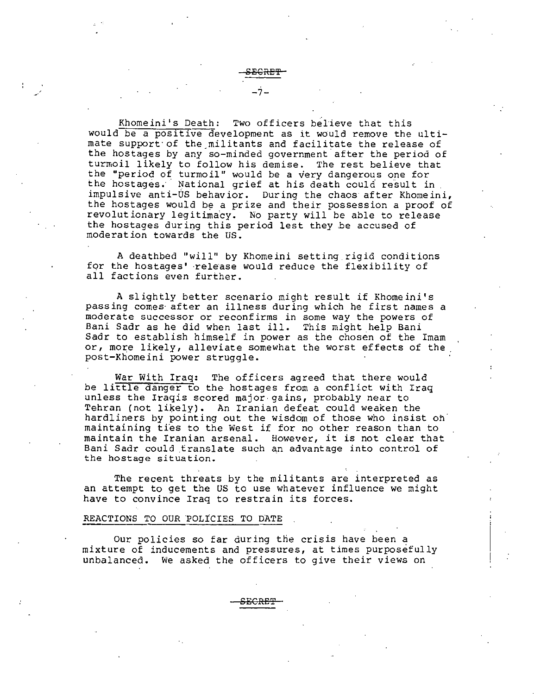Khomeini's Death: Two officers believe that this would be a positive development as it would remove the ultimate support of the militants and facilitate the release of the hostages by any so-minded government after the period of turmoil likely to follow his demise. The rest believe that the "period of turmoil" would be a very dangerous one for the hostages. National grief at his death could result in impulsive anti-US behavior. During the chaos after Khomeini, the hostages would be a prize and their possession a proof of revolutionary legitimacy. No party will be able to release the hostages during this period lest they be accused of moderation towards the us.

A deathbed "will" by Khomeini setting. rigid conditions for the hostages' release would reduce the flexibility of all factions even further.

A slightly better scenario might result if Khomeini's passing comes· after an illness during which he first names a moderate successor or reconfirms in some way the powers of Bani Sadr as he did when last ill. This might help Bani Sadr to establish himself in power as the chosen of the Imam or, more likely, alleviate somewhat the worst effects of the post-Khomeini power struggle.

War With Iraq: The officers agreed that there would be little danger to the hostages from a conflict with Iraq unless the Iraqis scored major gains, probably near to Tehran (not likely). An Iranian defeat could weaken the hardliners by pointing out the wisdom of those who insist on· maintaining ties to the West if for no other reason than to maintain the Iranian arsenal. However, it is not clear that Bani Sadr could translate such an advantage into control of the hostage situation.

The recent threats by the militants are interpreted as an attempt to get the US to use whatever influence we might have to convince Iraq to restrain its forces.

### REACTIONS TO OUR POLICIES TO DATE

Our policies so far during the crisis have been a mixture of inducements and pressures, at times purposefully unbalanced. We asked the officers to give their views on

**SECRE'%'** 

-7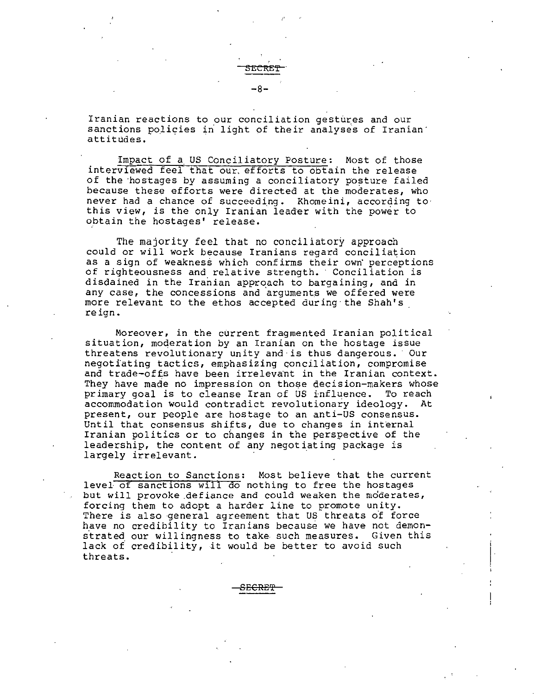Iranian reactions to our conciliation gestures and our sanctions policies in light of their analyses of Iranian<sup>-</sup> attitudes.

-8

**5ECitE!** 

Impact of a US Conciliatory Posture: Most of those interviewed feel that our efforts to obtain the release of the hostages by assuming a conciliatory posture failed because these efforts were directed at the moderates, who never had a chance of succeeding. Khomeini, according to· this view, *is* the only Iranian leader with the power to obtain the hostages' release.

The majority feel that no conciliatory approach could or will work because Iranians regard conciliation as a sign of weakness which confirms their own perceptions of righteousness and relative strength. Conciliation is disdained in the Iranian approach to bargaining, and in any case, the concessions and arguments we offered were more relevant to the ethos accepted during the Shah's .<br>reign.

Moreover, *in* the current fragmented Iranian political situation, moderation by an Iranian on the hostage issue threatens revolutionary unity and· *is* thus dangerous. Our negotiating tactics, emphasizing conciliation, compromise and trade-offs have been irrelevant in the Iranian context. They have made no impression on those decision-makers whose primary goal *is* to cleanse Iran of US influence. To reach accommodation would contradict revolutionary ideology. At present, our people are hostage to an anti-US consensus. Until that consensus shifts, due to changes in internal Iranian politics or to changes *in* the perspective of the leadership, the content of any negotiating package is largely irrelevant.

Reaction to Sanctions: Most believe that the current level of sanctions will do nothing to free the hostages but will provoke defiance and could weaken the moderates, forcing them to adopt a harder line to promote unity. There is also general agreement that US threats of force have no credibility to Iranians because we have not demons'trated our willingness to take. such measures. *Given* this lack of credibility, it would be better to *avoid* such threats.

SE<del>CRET</del>

 $\left| \right|$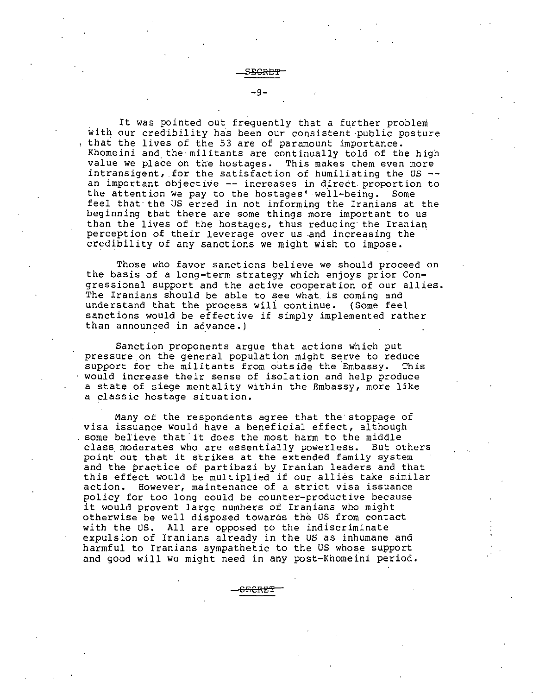$-9-$ 

It was pointed out frequently that a further problem with our credibility has been our consistent public posture that the lives of the 53 are of paramount importance. Khomeini and the militants are continually told of the high<br>value we place on the hostages. This makes them even more value we place on the hostages. intransigent, for the satisfaction of humiliating the US an important objective-- increases in direct.proportion to the attention we pay to the hostages' well-being. Some feel that·the US erred in not informing the Iranians at the beginning that there are some things more important to us than the lives of the hostages, thus reducing the Iranian<br>perception of their leverage over us and increasing the credibility of any sanctions we might wish to impose.

Those who favor sanctions believe we should proceed on the basis of a long-term strategy which enjoys prior Congressional support and the active cooperation of our allies. The Iranians should be able to see what is coming and understand that the process wili continue. (Some feel sanctions would be effective if simply implemented rather than announced in advance.)

Sanction proponents argue that actions which put pressure on the general population might serve to reduce<br>support for the militants from outside the Embassy. This support for the militants from outside the Embassy. would increase their sense of isolation and help produce a state of siege mentality within the Embassy, more like a classic hostage situation.

Many of the respondents agree that the stoppage of visa issuance would have a beneficial effect, although some believe that it does the most harm to the middle class moderates who are essentially powerless. But others point out that it strikes at the extended family system and the practice of partibazi by Iranian leaders and that this effect would be multiplied if our allies take similar action. However, maintenance of a strict visa issuance However, maintenance of a strict visa issuance policy for too long could be counter-productive because it would prevent large numbers of Iranians who might otherwise be well disposed towards the US from contact with the US. All are opposed to the indiscriminate expulsion of Iranians already *in* the US as inhumane and harmful to Iranians sympathetic to the US whose support and good will we might need in any post-Khomeini period.

**SEERE'i'**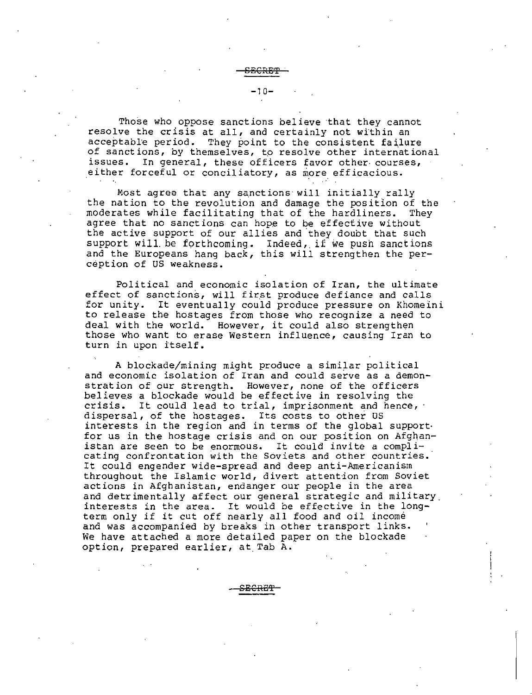Those who oppose sanctions believe that they cannot resolve the crisis at all, and certainly not within an

**6BCRE':P** .

-10-

acceptable period. They point to the consistent failure of sanctions, by themselves, to resolve other international issues. In general, these officers favor other courses, either forceful or conciliatory, as more efficacious.

Most agree that any sanctions will initially rally the nation to the revolution and damage the position of the moderates while facilitating that of the hardliners. They agree that no sanctions can hope to be effective without the active support of our allies and they doubt that such support will. be forthcoming. Indeed, if we push sanctions and the Europeans hang back, this will strengthen the perception of US weakness.

Political and economic isolation of Iran, the ultimate effect of sanctions, will first produce defiance and calls for unity. It eventually could produce pressure on Khomeini to release the hostages from those who recognize a need to deal with the world. However, it could also strengthen those who want to erase Western influence, causing Iran to turn in upon itself.

A blockade/mining might produce a similar political and economic isolation of Iran and could serve as a demonstration of our strength. However, none of the officers believes a blockade would be effective in resolving the crisis. It could lead to trial, imprisonment and hence, ·<br>dispersal, of the hostages. Its costs to other US interests in the region and in terms of the global supportfor us in the hostage crisis and on our position on Afghan-<br>istan are seen to be enormous. It could invite a compliistan are seen to be enormous. cating confrontation with the Soviets and other countries. It could engender wide-spread and deep anti-Americanism throughout the Islamic world, divert attention from Soviet actions in Afghanistan, endanger our people in the area and detrimentally affect our general strategic and military. interests in the area. It would be effective in the longterm only if it cut off nearly all food and oil income and was accompanied by breaks in other transport links. We have attached a more detailed paper on the blockade option, prepared earlier, at Tab A.

S<del>ECRET</del>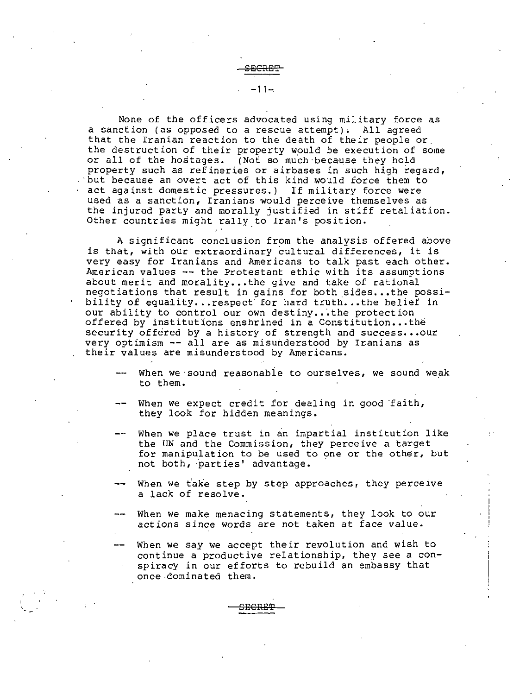-11-.

None of the officers advocated using military force as a sanction (as opposed to a rescue attempt); All agreed that the Iranian reaction to the death of their people or. the destruction of their property would be execution of some or all of the hostages. (Not so much because they hold property such as refineries or airbases in such high regard, . but because an overt act of this kind would force them to act against domestic pressures.) If military force were used as a sanction, Iranians would perceive themselves as the injured party and morally justified in stiff retaliation. Other countries might rally.to Iran's position.

A significant conclusion from the analysis offered above is that, with our extraordinary cultural differences, *it* is very easy for Iranians and Americans to talk past each other. American values  $-$ - the Protestant ethic with its assumptions about merit and morality...the give and take of rational negotiations that result in gains for both sides...the possibility of equality...respect for hard truth...the belief in our ability to control our own destiny...the protection offered by institutions enshrined in a Constitution...the security offered by a history of strength and success... our very optimism -- all are as misunderstood by Iranians as their values are misunderstood by Americans.

- When we sound reasonable to ourselves, we sound weak to them.
- When we expect credit for dealing in good faith, they look for hidden meanings.
- When we place trust in an impartial institution like the UN and the Commission, they perceive a target for manipulation to be used to one or the other, but not both, parties' advantage.
- When we take step by step approaches, they perceive a lack of resolve.
- When we make menacing statements, they look to our actions since words are not taken at face value.
- When we say we accept their revolution and wish to continue a productive relationship, they see a  $con$ spiracy in our efforts to rebuild an embassy that once.dominated them.

i

SECRE9?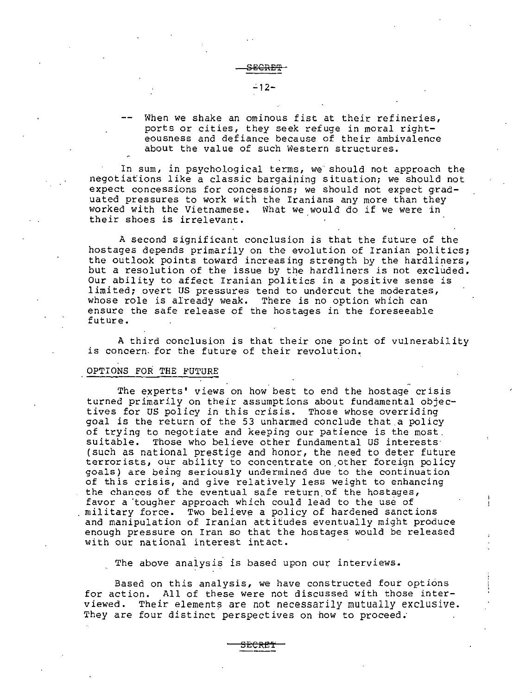<del>ECRET</del>

# -12-

When we shake an ominous fist at their refineries, ports or cities, they seek refuge *in* moral righteousness and defiance because of their ambivalence about the value of such Western structures.

In sum, *in* psychological terms, we should not approach the negotiations *like* a classic bargaining situation; we should not expect concessions for concessions; we should not expect graduated pressures to work with the Iranians any more than they worked with the Vietnamese. Nhat we would do if we were in their shoes is irrelevant.

A second significant conclusion is that the future of the hostages depends primarily on the evolution of Iranian politics; the outlook points toward increasing strength by the hardliners, but a resolution of the issue by the hardliners is not excluded. Our ability to affect Iranian politics in a positive sense is limited; overt US pressures tend to undercut the moderates,<br>whose role is already weak. There is no option which can ensure the safe release of the hostages in the foreseeable future.

A third conclusion is that their one point of vulnerability is concern. for the future of their revolution,

# OPTIONS FOR THE FUTURE

The experts' views on how best to end the hostage crisis turned primarily on their assumptions about fundamental objectives for US policy in this crisis. Those whose overriding goal is the return of the 53 unharmed conclude that.a policy of trying to negotiate and keeping our patience is the most. suitable. Those who *believe* other fundamental US interests· (such as national prestige and honor, the need to deter future terrorists, our ability to concentrate on other foreign policy goals) are being seriously undermined due to the continuation of this crisis, and give relatively less weight to enhancing the chances of the eventual safe return of the hostages, favor a tougher approach which could lead to the use of military force. Two believe a policy of hardened sanctions and manipulation of Iranian attitudes eventually might produce enough pressure on Iran so that the hostages would be released with our national interest intact.

The above analysis is based upon our interviews.

Based on this analysis, we have constructed four options for action. All of these were not discussed with those inter-<br>viewed. Their elements are not necessarily mutually exclusive. Their elements are not necessarily mutually exclusive. They are four distinct perspectives on how to proceed.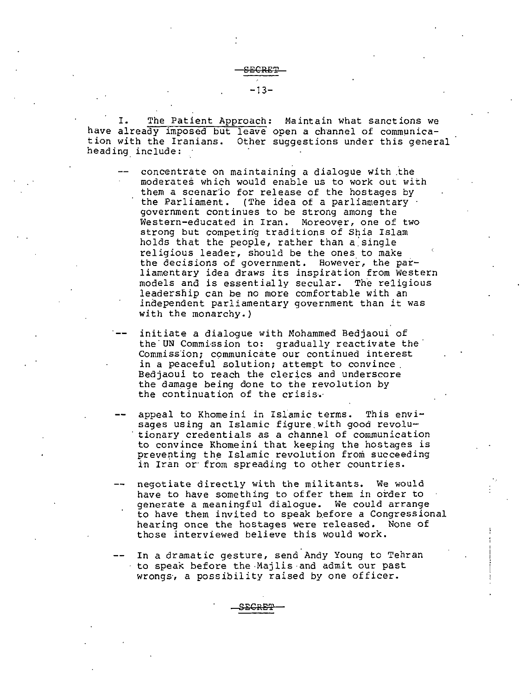I. The Patient Approach: Maintain what sanctions we have already imposed but leave open a channel of communication with the Iranians. Other suggestions under *this* general heading include:

- concentrate on maintaining a dialogue with the moderates which would enable us to work out with them a scenario for release of the hostages by<br>the Parliament. (The idea of a parliamentary government continues to be strong among the Western-educated in Iran. Moreover, one of two strong but competing traditions of Shia Islam holds that the people, rather than a single religious leader, should be the ones to make the decisions of government. However, the parliamentary idea draws its inspiration from Western models and is essentially secular. The religious leadership can be no more comfortable with an independent parliamentary government than it was with the monarchy.)
- initiate a dialogue with Mohammed Bedjaoui of the UN Commission to: gradually reactivate the Commission; communicate our continued interest<br>in a peaceful solution; attempt to convince Bedjaoui to reach the clerics and underscore the damage being done to the revolution by the continuation of the crisis.·
- appeal to Khomeini in Islamic terms. This envisages using an Islamic figure with good revolutionary credentials as a channel of communication to convince Khomeini that keeping the hostages is preventing the Islamic revolution from succeeding in Iran or from spreading to other countries.
- negotiate directly with the militants. We would *have* to *have* something to offer them in order to generate a meaningful dialogue. We could arrange to have them invited to speak before a Congressional hearing once the hostages were released. None of those interviewed believe this would work.
- In a dramatic gesture, send Andy Young to Tehran to speak before the·Majlis and admit our past wrongs, a possibility raised by one officer.

**SECRE':P**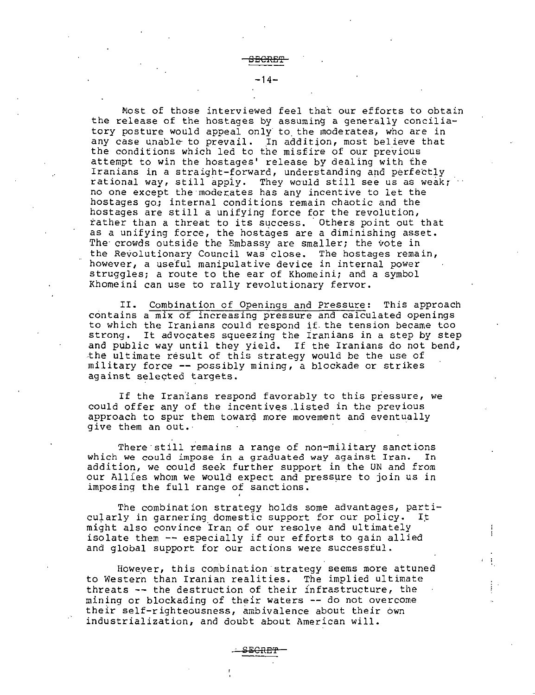Most of those interviewed feel that our efforts to obtain the release of the hostages by assuming a generally conciliatory posture would appeal only· to the moderates, who are in any case unable to prevail. In addition, most believe that the conditions which led to the misfire of our previous attempt to win the hostages' release by dealing with the Iranians in a straight-forward, understanding and perfectly rational way, still apply. They would still see us as weak; no one except the moderates has any incentive to let the hostages go: internal conditions remain chaotic and the hostages are still a unifying force for the revolution, rather than a threat to its success. Others point out that as a unifying force, the hostages are a diminishing asset. The crowds outside the Embassy are smaller; the vote in the Revolutionary Council was'close. The hostages remain, however, a useful manipulative device *in* internal power struggles; a route to the ear of Khomeini; and a symbol Khomeini can use to rally revolutionary fervor.

II. Combination of Openings and Pressure: This approach contains a mix of increasing pressure and calculated openings to which the Iranians could respond if. the tension became too strong. It advocates squeezing the Iranians in a step by step and public way until they yield. If the Iranians do not bend, .the ultimate result of this strategy would be the use of military force --possibly mining, a blockade or strikes against selected targets.

If the Iranians respond favorably to this pressure, we could offer any of the incentives .listed in the previous approach to spur them toward more movement and eventually give them an out.

There still remains a range of non-military sanctions<br>we could impose in a graduated way against Iran. In which we could impose in a graduated way against Iran. addition, we could seek further support in the UN and from our Allies whom we would expect and pressure to join us in imposing the full range of sanctions.

The combination strategy holds some advantages, parti-<br>ly in garnering domestic support for our policy. It cularly in garnering domestic support for our policy. might also convince Iran of our resolve and ultimately isolate them -- especially if our efforts to gain allied and global support for our actions were successful.

However, this combination strategy seems more attuned to Western than Iranian realities. The implied ultimate threats -- the destruction of their infrastructure, the mining or blockading of their waters -- do not overcome their self-righteousness, ambivalence about their own industrialization, and doubt about American will.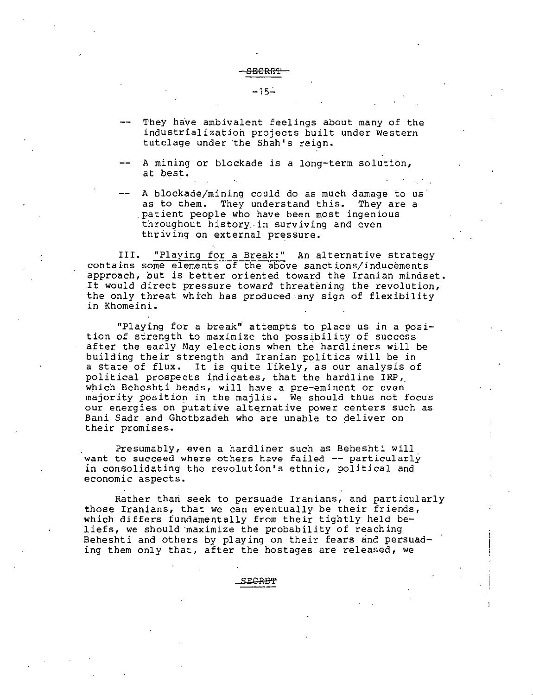#### -15.:.

- They have ambivalent feelings about many of the .industrialization projects built under Western tutelage under the Shah's reign.
- A mining or blockade is a long-term solution, at best.
- A blockade/mining could do as much damage to us as to them. They understand this. They are a .patient people who have been most ingenious throughout history.in surviving and even thriving on external pressure.

III. "Playing for a Break:" An alternative strategy contains some elements of the above sanctions/inducements approach, but is better oriented toward the Iranian mindset. It would direct pressure toward threatening the revolution, the only threat which has produced any sign of flexibility in Khomeini.

"Playing for a break" attempts to place us in a position of strength to maximize the possibility of success after the early May elections when the hardliners will be building their strength and Iranian politics will be in a state of flux. It is quite likely, as our analysis of political prospects indicates, that the hardline IRP, which Beheshti heads, will have a pre-eminent or even majority position in the majlis. We should thus not focus our energies on putative alternative power centers such as Bani Sadr and Ghotbzadeh who are unable to deliver on their promises.

Presumably, even a hardliner such as Beheshti will want to succeed where others have failed -- particularly in consolidating the revolution's ethnic, political and economic aspects.

Rather than seek to persuade Iranians, and particularly those Iranians, that we can eventually be their friends, which differs fundamentally from their tightly held beliefs, we should ·maximize the probability of reaching Beheshti and others by playing on their fears and persuading them only that, after the hostages are released, we

**SEGRE'f"**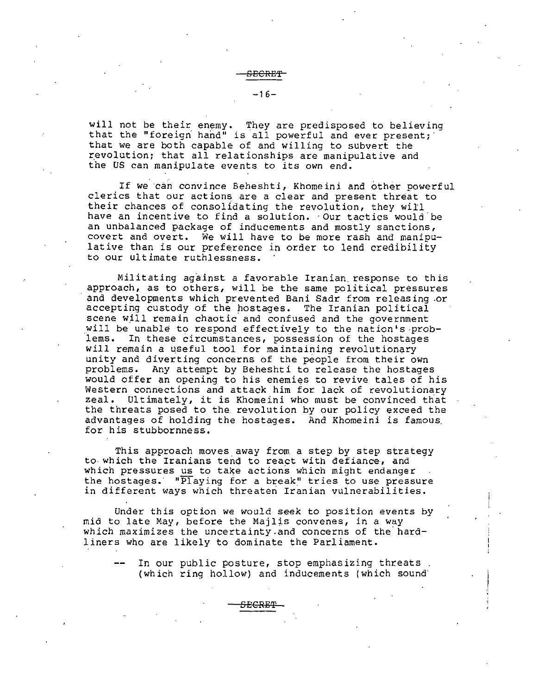$-16-$ 

will not be their enemy. They are predisposed to believing that the "foreign hand" is all powerful and ever present; that we are both capable of and willing to subvert the revolution; that all relationships are manipulative and the US can manipulate events to its own end.

If we can convince Beheshti, Khomeini and other powerful clerics that our actions are a clear and present threat to their chances of consolidating the revolution, they will have an incentive to find a solution. Our tactics would be an unbalanced package of inducements and mostly sanctions, covert and overt. We will have to be more rash and manipulative than is our preference in order to lend credibility to our ultimate ruthlessness.

Militating against a favorable Iranian response to this approach, as to others, will be the same political pressures and developments which prevented Bani Sadr from releasing or<br>accepting custody of the hostages. The Iranian political accepting custody of the hostages. scene will remain chaotic and confused and the government will be unable to respond effectively to the nation's prob-<br>lems. In these circumstances, possession of the hostages In these circumstances, possession of the hostages will remain a useful tool for maintaining revolutionary unity and diverting concerns of the people from their own problems. Any attempt by Beheshti to release the hostages would offer an opening to his enemies to revive tales of his Western connections and attack him for lack of revolutionary zeal. Ultimately, it is Khomeini who must be convinced that the threats posed to the. revolution by our policy exceed the advantages of holding the hostages. And Khomeini *is* famous. for his stubbornness.

This approach moves away from a step by step strategy<br>to which the Iranians tend to react with defiance, and which pressures us to take actions which might endanger the hostages. "Playing for a break" tries to use pressure in different ways which threaten Iranian vulnerabilities.

Under this option we would seek to position events by mid to late May, before the Majlis convenes, in a way which maximizes the uncertainty and concerns of the hardliners who are likely to dominate the Parliament.

SECRET

In our public posture, stop emphasizing threats. (which ring hollow} and inducements (which sound·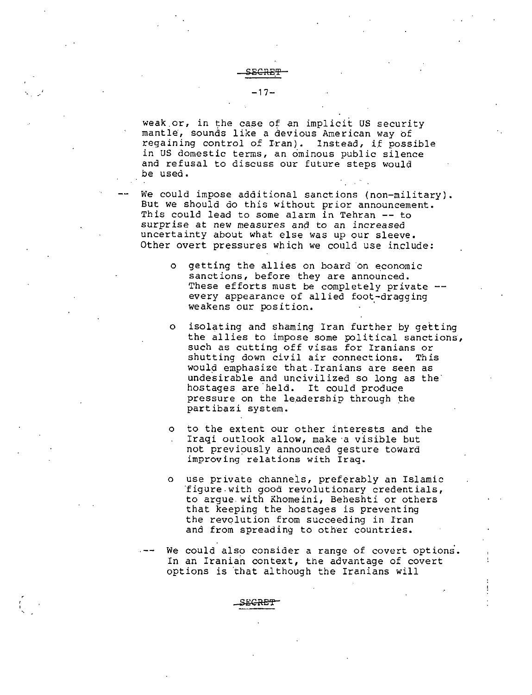weak or, in the case of an implicit US security mantle·, sounds like *a* devious American way of regaining control of Iran). Instead, if possible in us domestic terms, an ominous public silence and refusal to discuss our future steps would be used.

~ECRE.'l? -17-

We could impose additional sanctions (non-military). But we should do this without prior announcement. This could lead to some alarm in Tehran -- to surprise at new measures and to an increased uncertainty about what else was up our sleeve. Other overt pressures which we could use include:

- o getting the allies on board on economic sanctions, before they are announced. These efforts must be completely private every appearance of allied foot-dragging weakens our position.
- o isolating and shaming Iran further by getting the allies to impose some political sanctions, such as cutting off visas for Iranians or shutting down *civil air* connections. This would emphasize that. Iranians are seen as undesirable and uncivilized so long as the hostages are held. It could produce pressure on the leadership through the partibazi system.
- o to the extent our other interests and the Iraqi outlook allow, make a visible but not previously announced gesture toward improving. relations with Iraq.
- o use private channels, preferably an Islamic ·figure-with good revolutionary credentials, to argue. with Khomeini, Beheshti or others that keeping the hostages is preventing the revolution from succeeding in Iran and from spreading to other countries.
- We could also consider a range of covert options. In an Iranian context, the advantage of covert options is that although the Iranians will

مبتحصة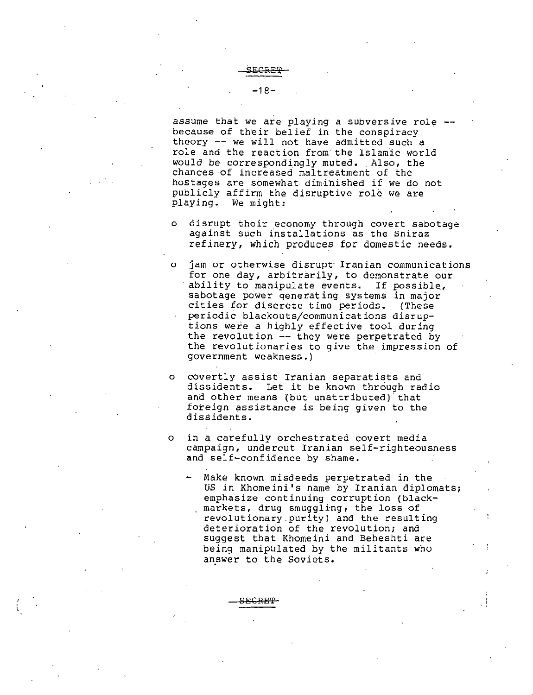$-18-$ 

assume that we are playing a subversive role because of their belief in the conspiracy theory -- we will not have admitted such a role and the reaction from·the Islamic world would be correspondingly muted. Also, the chances ·of increased maltreatment of the hostages are somewhat diminished if we do not publicly affirm the disruptive role we are playing. We might:

- <sup>o</sup> disrupt their economy through covert sabotage against such installations as 'the Shiraz refinery, which produces for domestic needs.
- o jam or otherwise disrupt· Iranian communications for one day, arbitrarily, to demonstrate our ability to manipulate events. If possible, sabotage power generating systems in major<br>cities for discrete time periods. (These cities for discrete time periods. periodic blackouts/communications disrup tions were a highly effective tool during the revolution -- they were perpetrated by the revolutionaries to give the impression of government weakness.)
- <sup>o</sup> covertly assist Iranian separatists and dissidents. Let it be known through radio and other means (but unattributed) that foreign assistance *is* being given to the dissidents.
- o in a carefully orchestrated covert *media campaign,* undercut Iranian self-righteousness and self-confidence by shame.
	- Make known misdeeds perpetrated in the US in Khomeini's name by Iranian diplomats; emphasize continuing corruption (blackmarkets, drug smuggling, the loss of revolutionary.purity) and the resulting deterioration of the revolution; and suggest that Khomeini and Beheshti are being manipulated by the militants who answer to the Soviets.

. !

**SECREP**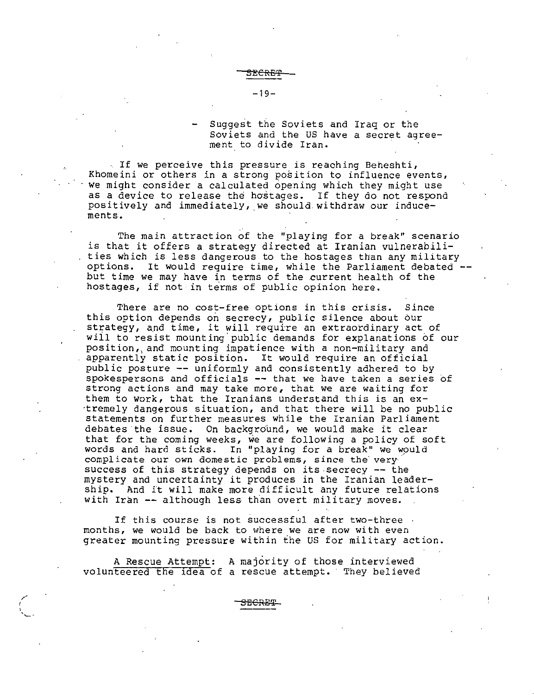Suggest the Soviets and Iraq or the Soviets and the US have a secret agreement to divide Iran.

If we perceive this pressure is reaching Beheshti, Khomeini or others in a strong position to influence events, we might consider a calculated opening which they might use as a device to release the hostages. If they do not respond positively and immediately, we should withdraw our inducements.

The main attraction of the "playing for a break" scenario is that it offers a strategy directed at Iranian vulnerabilities which is less dangerous to the hostages than any military options. It would require time, while the Parliament debated but time we may have *in* terms of the current health of the hostages, if not in terms of public opinion here.

There are no cost-free options *in* this crisis. Since this option depends on secrecy, public silence about our strategy, and time, it will require an extraordinary act of will to resist mounting public demands for explanations of our position,, and mounting impatience with a non-military and apparently static position. It would require an official public posture -- uniformly and consistently adhered to by spokespersons and officials -- that we have taken a series of strong actions and may take more, that we are waiting for them to work, that the Iranians understand this is an ex ·tremely dangerous situation, and that there will be no public statements on further measures while the Iranian Parliament debates the issue. On background, we would make it clear that for the coming weeks, we are following a policy of soft words and hard sticks. In "playing for a break" we would complicate our own domestic problems, since the verysuccess of this strategy depends on its secrecy -- the mystery and uncertainty it produces in the Iranian leadership. And it will make more difficult any future relations with Iran  $--$  although less than overt military moves.

If this course is not successful after two-three months, we would be back to where we are now with even greater mounting pressure within the US for military action.

A Rescue Attempt: A majority of those interviewed volunteered the idea of a rescue attempt. They believed

 ${\tt s}_{\rm ECHET}$